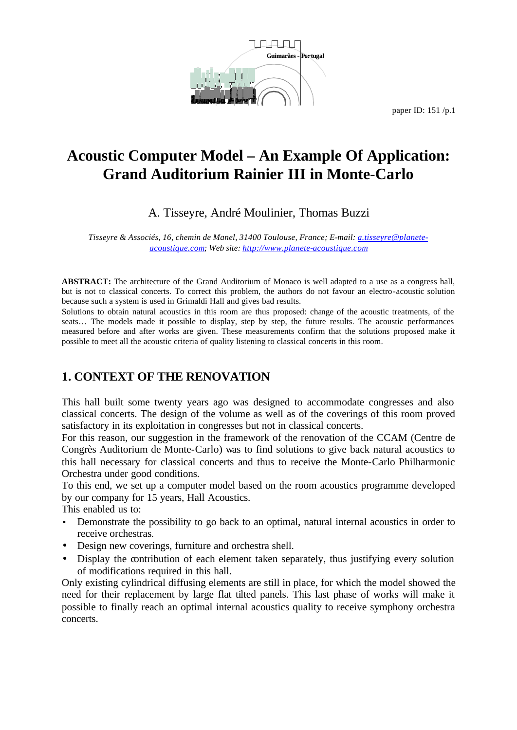

# **Acoustic Computer Model – An Example Of Application: Grand Auditorium Rainier III in Monte-Carlo**

### A. Tisseyre, André Moulinier, Thomas Buzzi

*Tisseyre & Associés, 16, chemin de Manel, 31400 Toulouse, France; E-mail: a.tisseyre@planeteacoustique.com; Web site: http://www.planete-acoustique.com*

**ABSTRACT:** The architecture of the Grand Auditorium of Monaco is well adapted to a use as a congress hall, but is not to classical concerts. To correct this problem, the authors do not favour an electro-acoustic solution because such a system is used in Grimaldi Hall and gives bad results.

Solutions to obtain natural acoustics in this room are thus proposed: change of the acoustic treatments, of the seats... The models made it possible to display, step by step, the future results. The acoustic performances measured before and after works are given. These measurements confirm that the solutions proposed make it possible to meet all the acoustic criteria of quality listening to classical concerts in this room.

### **1. CONTEXT OF THE RENOVATION**

This hall built some twenty years ago was designed to accommodate congresses and also classical concerts. The design of the volume as well as of the coverings of this room proved satisfactory in its exploitation in congresses but not in classical concerts.

For this reason, our suggestion in the framework of the renovation of the CCAM (Centre de Congrès Auditorium de Monte-Carlo) was to find solutions to give back natural acoustics to this hall necessary for classical concerts and thus to receive the Monte-Carlo Philharmonic Orchestra under good conditions.

To this end, we set up a computer model based on the room acoustics programme developed by our company for 15 years, Hall Acoustics.

This enabled us to:

- Demonstrate the possibility to go back to an optimal, natural internal acoustics in order to receive orchestras.
- Design new coverings, furniture and orchestra shell.
- Display the contribution of each element taken separately, thus justifying every solution of modifications required in this hall.

Only existing cylindrical diffusing elements are still in place, for which the model showed the need for their replacement by large flat tilted panels. This last phase of works will make it possible to finally reach an optimal internal acoustics quality to receive symphony orchestra concerts.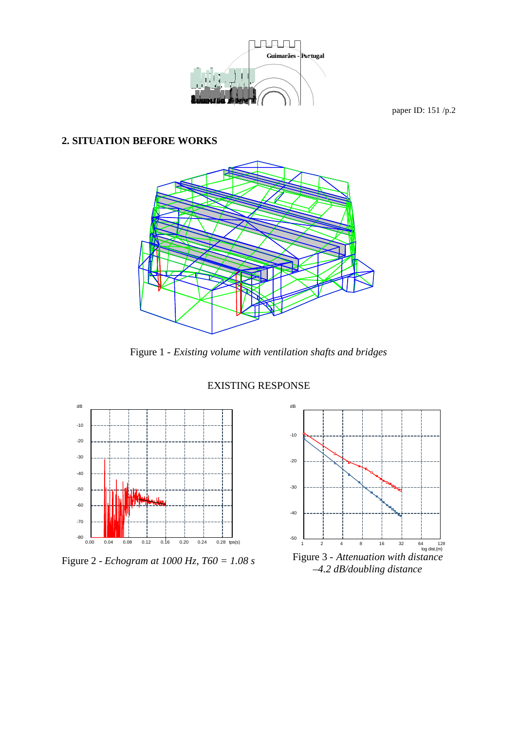

#### **2. SITUATION BEFORE WORKS**



Figure 1 - *Existing volume with ventilation shafts and bridges*



Figure 2 *- Echogram at 1000 Hz, T60 = 1.08 s*



Figure 3 - *Attenuation with distance –4.2 dB/doubling distance*

#### EXISTING RESPONSE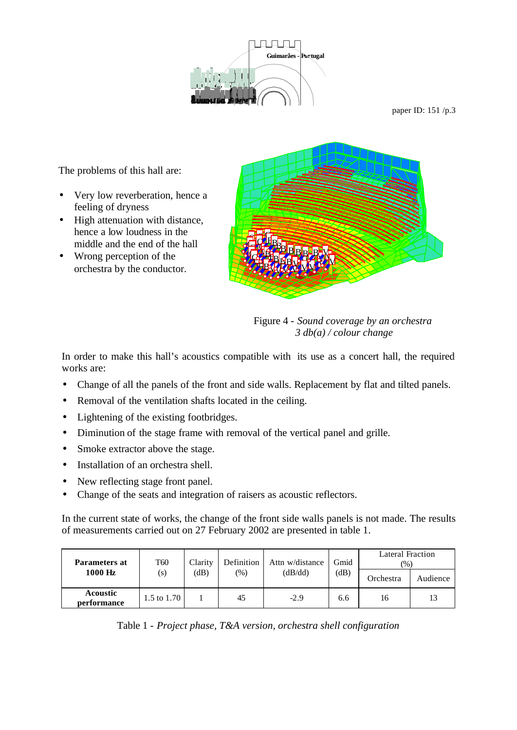

The problems of this hall are:

- Very low reverberation, hence a feeling of dryness
- High attenuation with distance, hence a low loudness in the middle and the end of the hall
- Wrong perception of the orchestra by the conductor.



Figure 4 - *Sound coverage by an orchestra 3 db(a) / colour change*

In order to make this hall's acoustics compatible with its use as a concert hall, the required works are:

- Change of all the panels of the front and side walls. Replacement by flat and tilted panels.
- Removal of the ventilation shafts located in the ceiling.
- Lightening of the existing footbridges.
- Diminution of the stage frame with removal of the vertical panel and grille.
- Smoke extractor above the stage.
- Installation of an orchestra shell.
- New reflecting stage front panel.
- Change of the seats and integration of raisers as acoustic reflectors.

In the current state of works, the change of the front side walls panels is not made. The results of measurements carried out on 27 February 2002 are presented in table 1.

| <b>Parameters at</b><br>1000 Hz | T <sub>60</sub><br>(s) | Clarity<br>dB) | Definition<br>(%) | Attn w/distance<br>(dB/dd) | Gmid<br>(dB) | Lateral Fraction<br>$(\%)$ |          |
|---------------------------------|------------------------|----------------|-------------------|----------------------------|--------------|----------------------------|----------|
|                                 |                        |                |                   |                            |              | Orchestra                  | Audience |
| <b>Acoustic</b><br>performance  | 1.5 to $1.70$          |                | 45                | $-2.9$                     | 6.6          | 16                         | 13       |

Table 1 - *Project phase, T&A version, orchestra shell configuration*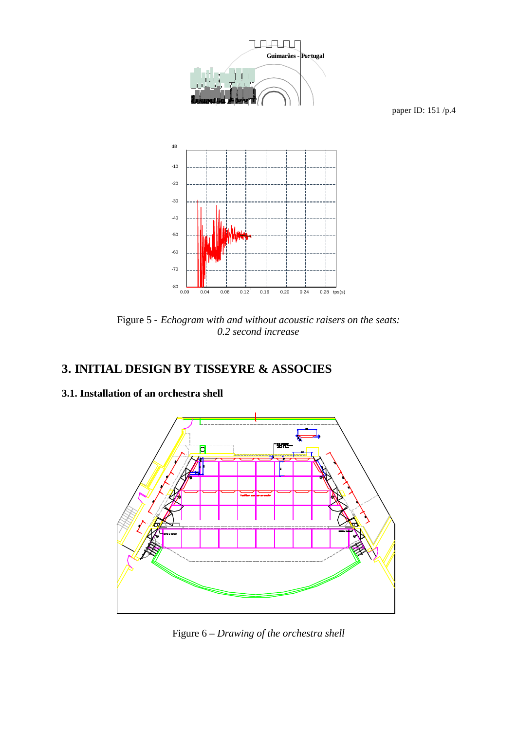

Figure 5 - *Echogram with and without acoustic raisers on the seats: 0.2 second increase*

### **3. INITIAL DESIGN BY TISSEYRE & ASSOCIES**

### **3.1. Installation of an orchestra shell**



Figure 6 – *Drawing of the orchestra shell*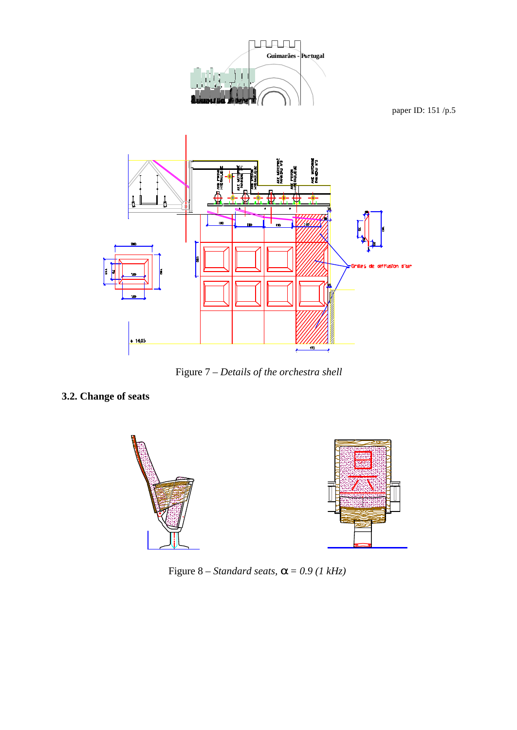

Figure 7 – *Details of the orchestra shell*

### **3.2. Change of seats**



Figure 8 – *Standard seats, a = 0.9 (1 kHz)*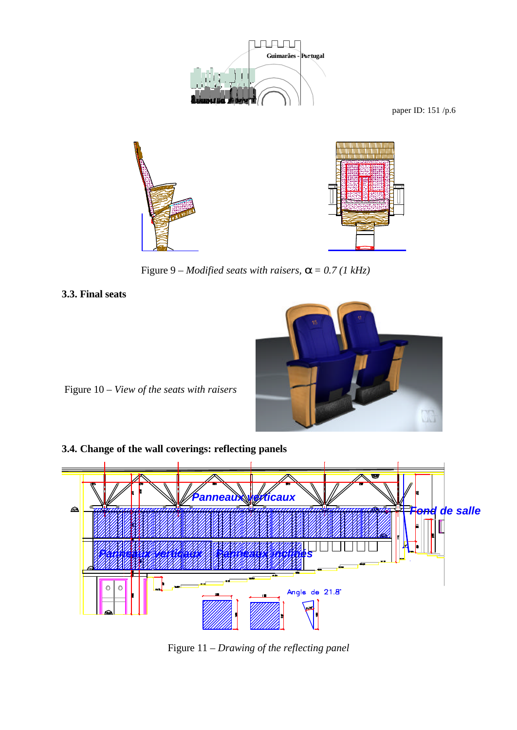

Figure 9 – *Modified seats with raisers,*  $\mathbf{a} = 0.7$  (1 kHz)

**3.3. Final seats**



Figure 10 – *View of the seats with raisers*

**3.4. Change of the wall coverings: reflecting panels**



Figure 11 – *Drawing of the reflecting panel*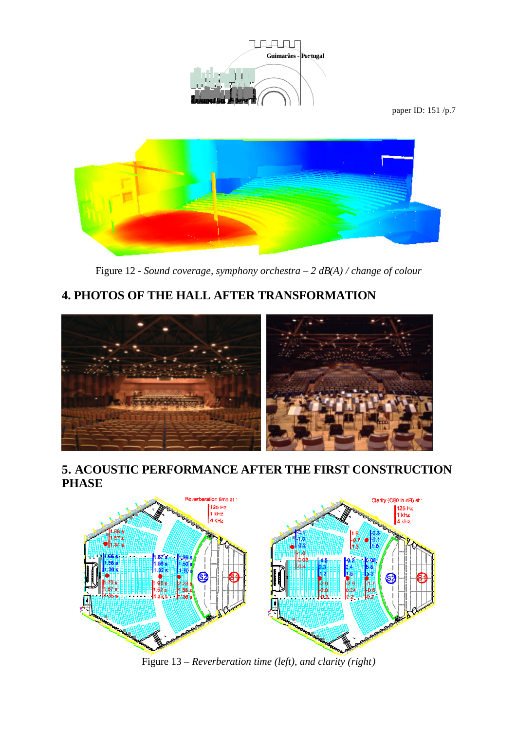



Figure 12 *- Sound coverage, symphony orchestra – 2 dB(A) / change of colour*

## **4. PHOTOS OF THE HALL AFTER TRANSFORMATION**



### **5. ACOUSTIC PERFORMANCE AFTER THE FIRST CONSTRUCTION PHASE**



Figure 13 *– Reverberation time (left), and clarity (right)*